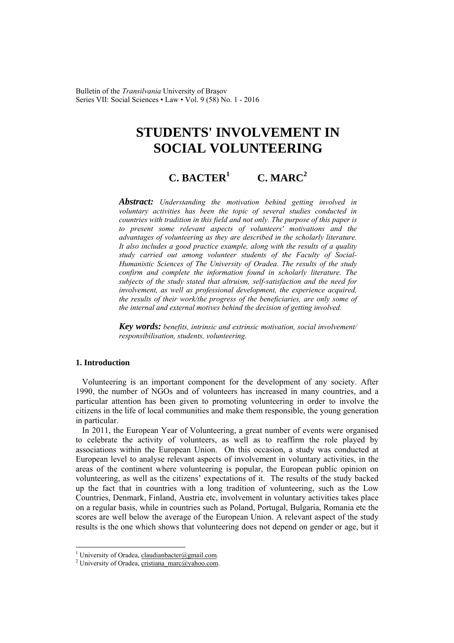Bulletin of the *Transilvania* University of Braşov Series VII: Social Sciences • Law • Vol. 9 (58) No. 1 - 2016

# **STUDENTS' INVOLVEMENT IN SOCIAL VOLUNTEERING**

#### **C. BACTER<sup>1</sup>**  $C. \text{MAR}C^2$

*Abstract: Understanding the motivation behind getting involved in voluntary activities has been the topic of several studies conducted in countries with tradition in this field and not only. The purpose of this paper is to present some relevant aspects of volunteers' motivations and the advantages of volunteering as they are described in the scholarly literature. It also includes a good practice example, along with the results of a quality study carried out among volunteer students of the Faculty of Social-Humanistic Sciences of The University of Oradea. The results of the study confirm and complete the information found in scholarly literature. The subjects of the study stated that altruism, self-satisfaction and the need for involvement, as well as professional development, the experience acquired, the results of their work/the progress of the beneficiaries, are only some of the internal and external motives behind the decision of getting involved.*

*Key words: benefits, intrinsic and extrinsic motivation, social involvement/ responsibilisation, students, volunteering*.

### **1. Introduction**

 $\overline{a}$ 

Volunteering is an important component for the development of any society. After 1990, the number of NGOs and of volunteers has increased in many countries, and a particular attention has been given to promoting volunteering in order to involve the citizens in the life of local communities and make them responsible, the young generation in particular.

In 2011, the European Year of Volunteering, a great number of events were organised to celebrate the activity of volunteers, as well as to reaffirm the role played by associations within the European Union. On this occasion, a study was conducted at European level to analyse relevant aspects of involvement in voluntary activities, in the areas of the continent where volunteering is popular, the European public opinion on volunteering, as well as the citizens' expectations of it. The results of the study backed up the fact that in countries with a long tradition of volunteering, such as the Low Countries, Denmark, Finland, Austria etc, involvement in voluntary activities takes place on a regular basis, while in countries such as Poland, Portugal, Bulgaria, Romania etc the scores are well below the average of the European Union. A relevant aspect of the study results is the one which shows that volunteering does not depend on gender or age, but it

<sup>&</sup>lt;sup>1</sup> University of Oradea, claudianbacter@gmail.com.

<sup>&</sup>lt;sup>2</sup> University of Oradea, cristiana\_marc@yahoo.com.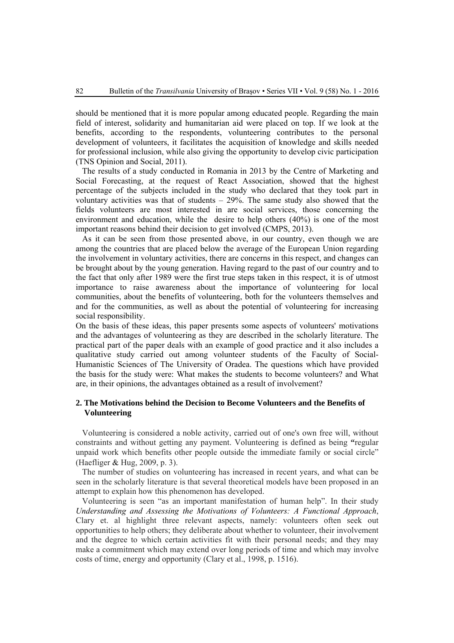should be mentioned that it is more popular among educated people. Regarding the main field of interest, solidarity and humanitarian aid were placed on top. If we look at the benefits, according to the respondents, volunteering contributes to the personal development of volunteers, it facilitates the acquisition of knowledge and skills needed for professional inclusion, while also giving the opportunity to develop civic participation (TNS Opinion and Social, 2011).

The results of a study conducted in Romania in 2013 by the Centre of Marketing and Social Forecasting, at the request of React Association, showed that the highest percentage of the subjects included in the study who declared that they took part in voluntary activities was that of students – 29%. The same study also showed that the fields volunteers are most interested in are social services, those concerning the environment and education, while the desire to help others (40%) is one of the most important reasons behind their decision to get involved (CMPS, 2013).

As it can be seen from those presented above, in our country, even though we are among the countries that are placed below the average of the European Union regarding the involvement in voluntary activities, there are concerns in this respect, and changes can be brought about by the young generation. Having regard to the past of our country and to the fact that only after 1989 were the first true steps taken in this respect, it is of utmost importance to raise awareness about the importance of volunteering for local communities, about the benefits of volunteering, both for the volunteers themselves and and for the communities, as well as about the potential of volunteering for increasing social responsibility.

On the basis of these ideas, this paper presents some aspects of volunteers' motivations and the advantages of volunteering as they are described in the scholarly literature. The practical part of the paper deals with an example of good practice and it also includes a qualitative study carried out among volunteer students of the Faculty of Social-Humanistic Sciences of The University of Oradea. The questions which have provided the basis for the study were: What makes the students to become volunteers? and What are, in their opinions, the advantages obtained as a result of involvement?

# **2. The Motivations behind the Decision to Become Volunteers and the Benefits of Volunteering**

Volunteering is considered a noble activity, carried out of one's own free will, without constraints and without getting any payment. Volunteering is defined as being **"**regular unpaid work which benefits other people outside the immediate family or social circle" (Haefliger & Hug, 2009, p. 3).

The number of studies on volunteering has increased in recent years, and what can be seen in the scholarly literature is that several theoretical models have been proposed in an attempt to explain how this phenomenon has developed.

Volunteering is seen "as an important manifestation of human help". In their study *Understanding and Assessing the Motivations of Volunteers: A Functional Approach*, Clary et. al highlight three relevant aspects, namely: volunteers often seek out opportunities to help others; they deliberate about whether to volunteer, their involvement and the degree to which certain activities fit with their personal needs; and they may make a commitment which may extend over long periods of time and which may involve costs of time, energy and opportunity (Clary et al., 1998, p. 1516).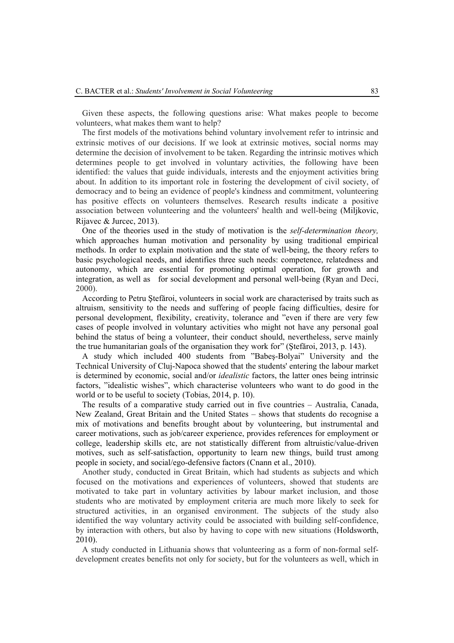Given these aspects, the following questions arise: What makes people to become volunteers, what makes them want to help?

The first models of the motivations behind voluntary involvement refer to intrinsic and extrinsic motives of our decisions. If we look at extrinsic motives, social norms may determine the decision of involvement to be taken. Regarding the intrinsic motives which determines people to get involved in voluntary activities, the following have been identified: the values that guide individuals, interests and the enjoyment activities bring about. In addition to its important role in fostering the development of civil society, of democracy and to being an evidence of people's kindness and commitment, volunteering has positive effects on volunteers themselves. Research results indicate a positive association between volunteering and the volunteers' health and well-being (Miljkovic, Rijavec & Jurcec, 2013).

One of the theories used in the study of motivation is the *self-determination theory,*  which approaches human motivation and personality by using traditional empirical methods. In order to explain motivation and the state of well-being, the theory refers to basic psychological needs, and identifies three such needs: competence, relatedness and autonomy, which are essential for promoting optimal operation, for growth and integration, as well as for social development and personal well-being (Ryan and Deci, 2000).

According to Petru Ştefăroi, volunteers in social work are characterised by traits such as altruism, sensitivity to the needs and suffering of people facing difficulties, desire for personal development, flexibility, creativity, tolerance and "even if there are very few cases of people involved in voluntary activities who might not have any personal goal behind the status of being a volunteer, their conduct should, nevertheless, serve mainly the true humanitarian goals of the organisation they work for" (Ştefăroi, 2013, p. 143).

A study which included 400 students from "Babeş-Bolyai" University and the Technical University of Cluj-Napoca showed that the students' entering the labour market is determined by economic, social and/or *idealistic* factors, the latter ones being intrinsic factors, "idealistic wishes", which characterise volunteers who want to do good in the world or to be useful to society (Tobias, 2014, p. 10).

The results of a comparative study carried out in five countries – Australia, Canada, New Zealand, Great Britain and the United States – shows that students do recognise a mix of motivations and benefits brought about by volunteering, but instrumental and career motivations, such as job/career experience, provides references for employment or college, leadership skills etc, are not statistically different from altruistic/value-driven motives, such as self-satisfaction, opportunity to learn new things, build trust among people in society, and social/ego-defensive factors (Cnann et al., 2010).

Another study, conducted in Great Britain, which had students as subjects and which focused on the motivations and experiences of volunteers, showed that students are motivated to take part in voluntary activities by labour market inclusion, and those students who are motivated by employment criteria are much more likely to seek for structured activities, in an organised environment. The subjects of the study also identified the way voluntary activity could be associated with building self-confidence, by interaction with others, but also by having to cope with new situations (Holdsworth, 2010).

A study conducted in Lithuania shows that volunteering as a form of non-formal selfdevelopment creates benefits not only for society, but for the volunteers as well, which in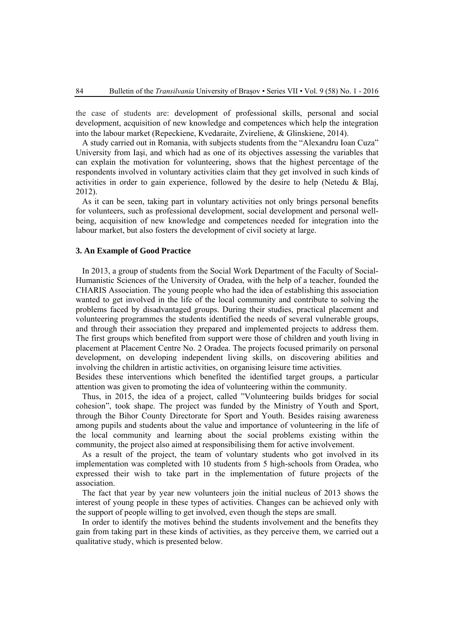the case of students are: development of professional skills, personal and social development, acquisition of new knowledge and competences which help the integration into the labour market (Repeckiene, Kvedaraite, Zvireliene, & Glinskiene, 2014).

A study carried out in Romania, with subjects students from the "Alexandru Ioan Cuza" University from Iaşi, and which had as one of its objectives assessing the variables that can explain the motivation for volunteering, shows that the highest percentage of the respondents involved in voluntary activities claim that they get involved in such kinds of activities in order to gain experience, followed by the desire to help (Netedu & Blaj, 2012).

As it can be seen, taking part in voluntary activities not only brings personal benefits for volunteers, such as professional development, social development and personal wellbeing, acquisition of new knowledge and competences needed for integration into the labour market, but also fosters the development of civil society at large.

#### **3. An Example of Good Practice**

In 2013, a group of students from the Social Work Department of the Faculty of Social-Humanistic Sciences of the University of Oradea, with the help of a teacher, founded the CHARIS Association. The young people who had the idea of establishing this association wanted to get involved in the life of the local community and contribute to solving the problems faced by disadvantaged groups. During their studies, practical placement and volunteering programmes the students identified the needs of several vulnerable groups, and through their association they prepared and implemented projects to address them. The first groups which benefited from support were those of children and youth living in placement at Placement Centre No. 2 Oradea. The projects focused primarily on personal development, on developing independent living skills, on discovering abilities and involving the children in artistic activities, on organising leisure time activities.

Besides these interventions which benefited the identified target groups, a particular attention was given to promoting the idea of volunteering within the community.

Thus, in 2015, the idea of a project, called "Volunteering builds bridges for social cohesion", took shape. The project was funded by the Ministry of Youth and Sport, through the Bihor County Directorate for Sport and Youth. Besides raising awareness among pupils and students about the value and importance of volunteering in the life of the local community and learning about the social problems existing within the community, the project also aimed at responsibilising them for active involvement.

As a result of the project, the team of voluntary students who got involved in its implementation was completed with 10 students from 5 high-schools from Oradea, who expressed their wish to take part in the implementation of future projects of the association.

The fact that year by year new volunteers join the initial nucleus of 2013 shows the interest of young people in these types of activities. Changes can be achieved only with the support of people willing to get involved, even though the steps are small.

In order to identify the motives behind the students involvement and the benefits they gain from taking part in these kinds of activities, as they perceive them, we carried out a qualitative study, which is presented below.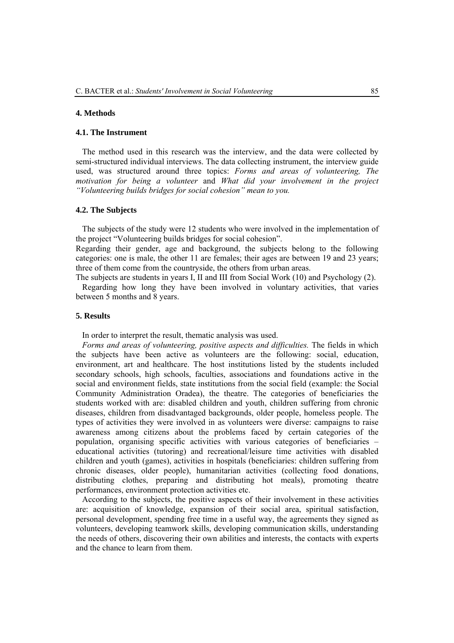#### **4. Methods**

#### **4.1. The Instrument**

The method used in this research was the interview, and the data were collected by semi-structured individual interviews. The data collecting instrument, the interview guide used, was structured around three topics: *Forms and areas of volunteering, The motivation for being a volunteer* and *What did your involvement in the project "Volunteering builds bridges for social cohesion" mean to you.*

#### **4.2. The Subjects**

The subjects of the study were 12 students who were involved in the implementation of the project "Volunteering builds bridges for social cohesion".

Regarding their gender, age and background, the subjects belong to the following categories: one is male, the other 11 are females; their ages are between 19 and 23 years; three of them come from the countryside, the others from urban areas.

The subjects are students in years I, II and III from Social Work (10) and Psychology (2).

Regarding how long they have been involved in voluntary activities, that varies between 5 months and 8 years.

## **5. Results**

In order to interpret the result, thematic analysis was used.

*Forms and areas of volunteering, positive aspects and difficulties.* The fields in which the subjects have been active as volunteers are the following: social, education, environment, art and healthcare. The host institutions listed by the students included secondary schools, high schools, faculties, associations and foundations active in the social and environment fields, state institutions from the social field (example: the Social Community Administration Oradea), the theatre. The categories of beneficiaries the students worked with are: disabled children and youth, children suffering from chronic diseases, children from disadvantaged backgrounds, older people, homeless people. The types of activities they were involved in as volunteers were diverse: campaigns to raise awareness among citizens about the problems faced by certain categories of the population, organising specific activities with various categories of beneficiaries – educational activities (tutoring) and recreational/leisure time activities with disabled children and youth (games), activities in hospitals (beneficiaries: children suffering from chronic diseases, older people), humanitarian activities (collecting food donations, distributing clothes, preparing and distributing hot meals), promoting theatre performances, environment protection activities etc.

 According to the subjects, the positive aspects of their involvement in these activities are: acquisition of knowledge, expansion of their social area, spiritual satisfaction, personal development, spending free time in a useful way, the agreements they signed as volunteers, developing teamwork skills, developing communication skills, understanding the needs of others, discovering their own abilities and interests, the contacts with experts and the chance to learn from them.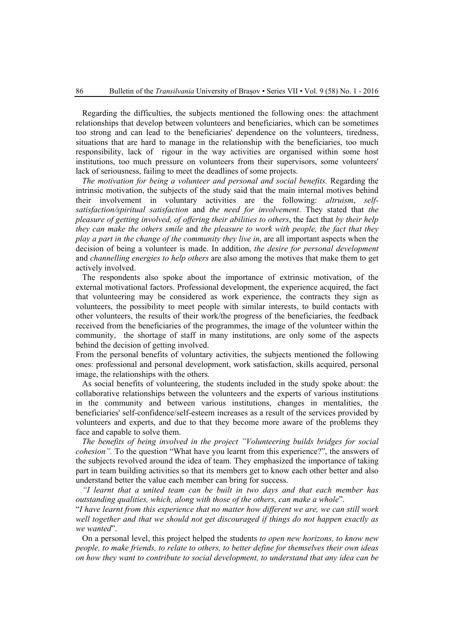Regarding the difficulties, the subjects mentioned the following ones: the attachment relationships that develop between volunteers and beneficiaries, which can be sometimes too strong and can lead to the beneficiaries' dependence on the volunteers, tiredness, situations that are hard to manage in the relationship with the beneficiaries, too much responsibility, lack of rigour in the way activities are organised within some host institutions, too much pressure on volunteers from their supervisors, some volunteers' lack of seriousness, failing to meet the deadlines of some projects.

*The motivation for being a volunteer and personal and social benefits.* Regarding the intrinsic motivation, the subjects of the study said that the main internal motives behind their involvement in voluntary activities are the following: *altruism*, *selfsatisfaction/spiritual satisfaction* and *the need for involvement*. They stated that *the pleasure of getting involved, of offering their abilities to others*, the fact that *by their help they can make the others smile* and *the pleasure to work with people, the fact that they play a part in the change of the community they live in*, are all important aspects when the decision of being a volunteer is made. In addition, *the desire for personal development*  and *channelling energies to help others* are also among the motives that make them to get actively involved.

The respondents also spoke about the importance of extrinsic motivation, of the external motivational factors. Professional development, the experience acquired, the fact that volunteering may be considered as work experience, the contracts they sign as volunteers, the possibility to meet people with similar interests, to build contacts with other volunteers, the results of their work/the progress of the beneficiaries, the feedback received from the beneficiaries of the programmes, the image of the volunteer within the community, the shortage of staff in many institutions, are only some of the aspects behind the decision of getting involved.

From the personal benefits of voluntary activities, the subjects mentioned the following ones: professional and personal development, work satisfaction, skills acquired, personal image, the relationships with the others.

As social benefits of volunteering, the students included in the study spoke about: the collaborative relationships between the volunteers and the experts of various institutions in the community and between various institutions, changes in mentalities, the beneficiaries' self-confidence/self-esteem increases as a result of the services provided by volunteers and experts, and due to that they become more aware of the problems they face and capable to solve them.

*The benefits of being involved in the project "Volunteering builds bridges for social cohesion".* To the question "What have you learnt from this experience?", the answers of the subjects revolved around the idea of team. They emphasized the importance of taking part in team building activities so that its members get to know each other better and also understand better the value each member can bring for success.

*"I learnt that a united team can be built in two days and that each member has outstanding qualities, which, along with those of the others, can make a whole*".

"*I have learnt from this experience that no matter how different we are, we can still work well together and that we should not get discouraged if things do not happen exactly as we wanted*".

On a personal level, this project helped the students *to open new horizons, to know new people, to make friends, to relate to others, to better define for themselves their own ideas on how they want to contribute to social development, to understand that any idea can be*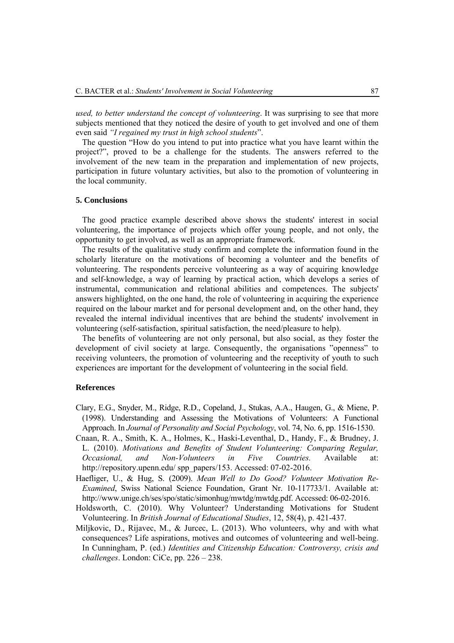*used, to better understand the concept of volunteering*. It was surprising to see that more subjects mentioned that they noticed the desire of youth to get involved and one of them even said *"I regained my trust in high school students*".

The question "How do you intend to put into practice what you have learnt within the project?", proved to be a challenge for the students. The answers referred to the involvement of the new team in the preparation and implementation of new projects, participation in future voluntary activities, but also to the promotion of volunteering in the local community.

#### **5. Conclusions**

The good practice example described above shows the students' interest in social volunteering, the importance of projects which offer young people, and not only, the opportunity to get involved, as well as an appropriate framework.

The results of the qualitative study confirm and complete the information found in the scholarly literature on the motivations of becoming a volunteer and the benefits of volunteering. The respondents perceive volunteering as a way of acquiring knowledge and self-knowledge, a way of learning by practical action, which develops a series of instrumental, communication and relational abilities and competences. The subjects' answers highlighted, on the one hand, the role of volunteering in acquiring the experience required on the labour market and for personal development and, on the other hand, they revealed the internal individual incentives that are behind the students' involvement in volunteering (self-satisfaction, spiritual satisfaction, the need/pleasure to help).

The benefits of volunteering are not only personal, but also social, as they foster the development of civil society at large. Consequently, the organisations "openness" to receiving volunteers, the promotion of volunteering and the receptivity of youth to such experiences are important for the development of volunteering in the social field.

#### **References**

- Clary, E.G., Snyder, M., Ridge, R.D., Copeland, J., Stukas, A.A., Haugen, G., & Miene, P. (1998). Understanding and Assessing the Motivations of Volunteers: A Functional Approach. In *Journal of Personality and Social Psychology*, vol. 74, No. 6, pp. 1516-1530.
- Cnaan, R. A., Smith, K. A., Holmes, K., Haski-Leventhal, D., Handy, F., & Brudney, J. L. (2010). *Motivations and Benefits of Student Volunteering: Comparing Regular, Occasional, and Non-Volunteers in Five Countries.* Available at: http://repository.upenn.edu/ spp\_papers/153. Accessed: 07-02-2016.
- Haefliger, U., & Hug, S. (2009). *Mean Well to Do Good? Volunteer Motivation Re-Examined*, Swiss National Science Foundation, Grant Nr. 10-117733/1. Available at: http://www.unige.ch/ses/spo/static/simonhug/mwtdg/mwtdg.pdf. Accessed: 06-02-2016.
- Holdsworth, C. (2010). Why Volunteer? Understanding Motivations for Student Volunteering. In *British Journal of Educational Studies*, 12, 58(4), p. 421-437.
- Miljkovic, D., Rijavec, M., & Jurcec, L. (2013). Who volunteers, why and with what consequences? Life aspirations, motives and outcomes of volunteering and well-being. In Cunningham, P. (ed.) *Identities and Citizenship Education: Controversy, crisis and challenges*. London: CiCe, pp. 226 – 238.